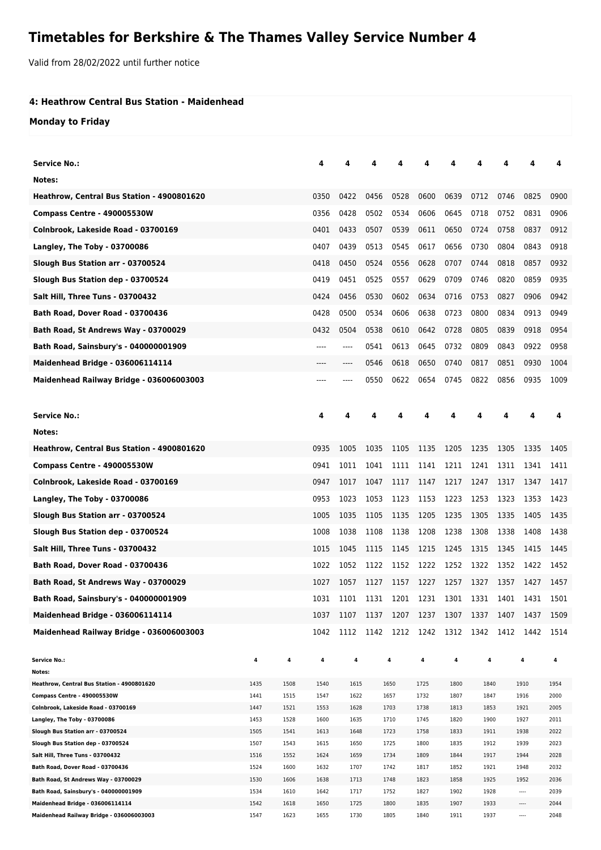## **Timetables for Berkshire & The Thames Valley Service Number 4**

Valid from 28/02/2022 until further notice

## **4: Heathrow Central Bus Station - Maidenhead**

**Monday to Friday**

| <b>Service No.:</b>                                                          |              |              | 4            | Δ            |      |              |                          |              |              | Δ    | 4                    | 4            |
|------------------------------------------------------------------------------|--------------|--------------|--------------|--------------|------|--------------|--------------------------|--------------|--------------|------|----------------------|--------------|
| Notes:                                                                       |              |              |              |              |      |              |                          |              |              |      |                      |              |
| Heathrow, Central Bus Station - 4900801620                                   |              |              | 0350         | 0422         | 0456 | 0528         | 0600                     | 0639         | 0712         | 0746 | 0825                 | 0900         |
| <b>Compass Centre - 490005530W</b>                                           |              |              | 0356         | 0428         | 0502 | 0534         | 0606                     | 0645         | 0718         | 0752 | 0831                 | 0906         |
| Colnbrook, Lakeside Road - 03700169                                          |              |              | 0401         | 0433         | 0507 | 0539         | 0611                     | 0650         | 0724         | 0758 | 0837                 | 0912         |
| Langley, The Toby - 03700086                                                 |              |              | 0407         | 0439         | 0513 | 0545         | 0617                     | 0656         | 0730         | 0804 | 0843                 | 0918         |
| Slough Bus Station arr - 03700524                                            |              |              | 0418         | 0450         | 0524 | 0556         | 0628                     | 0707         | 0744         | 0818 | 0857                 | 0932         |
| Slough Bus Station dep - 03700524                                            |              |              | 0419         | 0451         | 0525 | 0557         | 0629                     | 0709         | 0746         | 0820 | 0859                 | 0935         |
| Salt Hill, Three Tuns - 03700432                                             |              |              | 0424         | 0456         | 0530 | 0602         | 0634                     | 0716         | 0753         | 0827 | 0906                 | 0942         |
| Bath Road, Dover Road - 03700436                                             |              |              | 0428         | 0500         | 0534 | 0606         | 0638                     | 0723         | 0800         | 0834 | 0913                 | 0949         |
| Bath Road, St Andrews Way - 03700029                                         |              |              | 0432         | 0504         | 0538 | 0610         | 0642                     | 0728         | 0805         | 0839 | 0918                 | 0954         |
|                                                                              |              |              |              |              |      |              |                          |              |              |      |                      |              |
| Bath Road, Sainsbury's - 040000001909                                        |              |              | ----         | ----         | 0541 | 0613         | 0645                     | 0732         | 0809         | 0843 | 0922                 | 0958         |
| <b>Maidenhead Bridge - 036006114114</b>                                      |              |              |              | ----         | 0546 | 0618         | 0650                     | 0740         | 0817         | 0851 | 0930                 | 1004         |
| Maidenhead Railway Bridge - 036006003003                                     |              |              |              | ----         | 0550 | 0622         | 0654                     | 0745         | 0822         | 0856 | 0935                 | 1009         |
|                                                                              |              |              |              |              |      |              |                          |              |              |      |                      |              |
| <b>Service No.:</b>                                                          |              |              | 4            | 4            | 4    |              |                          | Δ            | 4            | 4    | 4                    | 4            |
| Notes:                                                                       |              |              |              |              |      |              |                          |              |              |      |                      |              |
| Heathrow, Central Bus Station - 4900801620                                   |              |              | 0935         | 1005         | 1035 | 1105         | 1135                     | 1205         | 1235         | 1305 | 1335                 | 1405         |
| Compass Centre - 490005530W                                                  |              |              | 0941         | 1011         | 1041 | 1111         | 1141                     | 1211         | 1241         | 1311 | 1341                 | 1411         |
| Colnbrook, Lakeside Road - 03700169                                          |              |              | 0947         | 1017         | 1047 | 1117         | 1147                     | 1217         | 1247         | 1317 | 1347                 | 1417         |
| Langley, The Toby - 03700086                                                 |              |              | 0953         | 1023         | 1053 | 1123         | 1153                     | 1223         | 1253         | 1323 | 1353                 | 1423         |
| Slough Bus Station arr - 03700524                                            |              |              | 1005         | 1035         | 1105 | 1135         | 1205                     | 1235         | 1305         | 1335 | 1405                 | 1435         |
| Slough Bus Station dep - 03700524                                            |              |              | 1008         | 1038         | 1108 | 1138         | 1208                     | 1238         | 1308         | 1338 | 1408                 | 1438         |
| Salt Hill, Three Tuns - 03700432                                             |              |              | 1015         | 1045         | 1115 | 1145         | 1215                     | 1245         | 1315         | 1345 | 1415                 | 1445         |
|                                                                              |              |              |              |              |      |              |                          |              |              |      |                      |              |
| Bath Road, Dover Road - 03700436                                             |              |              | 1022         | 1052         | 1122 | 1152         | 1222                     | 1252         | 1322         | 1352 | 1422                 | 1452         |
| Bath Road, St Andrews Way - 03700029                                         |              |              | 1027         | 1057         | 1127 | 1157         | 1227                     | 1257         | 1327         | 1357 | 1427                 | 1457         |
| Bath Road, Sainsbury's - 040000001909                                        |              |              | 1031         | 1101         |      |              | 1131 1201 1231 1301 1331 |              |              | 1401 | 1431                 | 1501         |
| Maidenhead Bridge - 036006114114                                             |              |              | 1037         | 1107         | 1137 | 1207         | 1237                     | 1307         | 1337         | 1407 | 1437                 | 1509         |
| Maidenhead Railway Bridge - 036006003003                                     |              |              | 1042         | 1112         | 1142 | 1212         | 1242                     | 1312         | 1342         | 1412 | 1442                 | 1514         |
|                                                                              |              |              |              |              |      |              |                          |              |              |      |                      |              |
| <b>Service No.:</b><br>Notes:                                                | 4            | 4            | 4            | 4            |      | 4            | 4                        | 4            | 4            |      | 4                    | 4            |
| Heathrow, Central Bus Station - 4900801620                                   | 1435         | 1508         | 1540         | 1615         |      | 1650         | 1725                     | 1800         | 1840         |      | 1910                 | 1954         |
| Compass Centre - 490005530W                                                  | 1441         | 1515         | 1547         | 1622         |      | 1657         | 1732                     | 1807         | 1847         |      | 1916                 | 2000         |
| Colnbrook, Lakeside Road - 03700169                                          | 1447         | 1521         | 1553         | 1628         |      | 1703         | 1738                     | 1813         | 1853         |      | 1921                 | 2005         |
| Langley, The Toby - 03700086                                                 | 1453         | 1528         | 1600         | 1635         |      | 1710         | 1745                     | 1820         | 1900         |      | 1927                 | 2011         |
| Slough Bus Station arr - 03700524                                            | 1505         | 1541         | 1613         | 1648         |      | 1723         | 1758                     | 1833         | 1911         |      | 1938                 | 2022         |
| Slough Bus Station dep - 03700524                                            | 1507         | 1543         | 1615         | 1650         |      | 1725         | 1800                     | 1835         | 1912         |      | 1939                 | 2023         |
| Salt Hill, Three Tuns - 03700432                                             | 1516         | 1552         | 1624         | 1659         |      | 1734         | 1809                     | 1844         | 1917         |      | 1944                 | 2028         |
| Bath Road, Dover Road - 03700436                                             | 1524         | 1600         | 1632         | 1707         |      | 1742         | 1817                     | 1852         | 1921         |      | 1948                 | 2032         |
| Bath Road, St Andrews Way - 03700029                                         | 1530         | 1606         | 1638         | 1713         |      | 1748         | 1823                     | 1858         | 1925         |      | 1952                 | 2036         |
| Bath Road, Sainsbury's - 040000001909                                        | 1534         | 1610         | 1642         | 1717         |      | 1752         | 1827                     | 1902         | 1928         |      | $\cdots$             | 2039         |
| Maidenhead Bridge - 036006114114<br>Maidenhead Railway Bridge - 036006003003 | 1542<br>1547 | 1618<br>1623 | 1650<br>1655 | 1725<br>1730 |      | 1800<br>1805 | 1835<br>1840             | 1907<br>1911 | 1933<br>1937 |      | $\cdots$<br>$\cdots$ | 2044<br>2048 |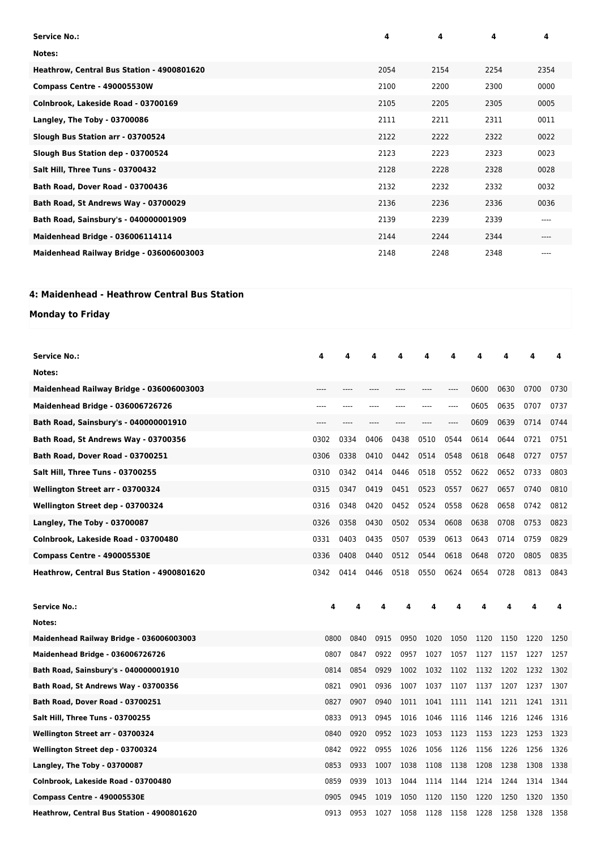| <b>Service No.:</b>                        | 4    | 4    | 4    | 4     |
|--------------------------------------------|------|------|------|-------|
| Notes:                                     |      |      |      |       |
| Heathrow, Central Bus Station - 4900801620 | 2054 | 2154 | 2254 | 2354  |
| Compass Centre - 490005530W                | 2100 | 2200 | 2300 | 0000  |
| Colnbrook, Lakeside Road - 03700169        | 2105 | 2205 | 2305 | 0005  |
| Langley, The Toby - 03700086               | 2111 | 2211 | 2311 | 0011  |
| Slough Bus Station arr - 03700524          | 2122 | 2222 | 2322 | 0022  |
| Slough Bus Station dep - 03700524          | 2123 | 2223 | 2323 | 0023  |
| Salt Hill, Three Tuns - 03700432           | 2128 | 2228 | 2328 | 0028  |
| Bath Road, Dover Road - 03700436           | 2132 | 2232 | 2332 | 0032  |
| Bath Road, St Andrews Way - 03700029       | 2136 | 2236 | 2336 | 0036  |
| Bath Road, Sainsbury's - 040000001909      | 2139 | 2239 | 2339 | $---$ |
| <b>Maidenhead Bridge - 036006114114</b>    | 2144 | 2244 | 2344 | ----  |
| Maidenhead Railway Bridge - 036006003003   | 2148 | 2248 | 2348 | $---$ |

## **4: Maidenhead - Heathrow Central Bus Station**

**Monday to Friday**

| <b>Service No.:</b>                        | 4    |      |      | 4    |      |      | Δ     | 4    | 4    | 4    | 4    |
|--------------------------------------------|------|------|------|------|------|------|-------|------|------|------|------|
| Notes:                                     |      |      |      |      |      |      |       |      |      |      |      |
| Maidenhead Railway Bridge - 036006003003   |      |      |      |      |      |      |       | 0600 | 0630 | 0700 | 0730 |
| <b>Maidenhead Bridge - 036006726726</b>    |      |      |      |      |      |      | ----  | 0605 | 0635 | 0707 | 0737 |
| Bath Road, Sainsbury's - 040000001910      | ---- | ---- |      | ---- | ---- | ---- | $---$ | 0609 | 0639 | 0714 | 0744 |
| Bath Road, St Andrews Way - 03700356       | 0302 | 0334 |      | 0406 | 0438 | 0510 | 0544  | 0614 | 0644 | 0721 | 0751 |
| Bath Road, Dover Road - 03700251           | 0306 | 0338 |      | 0410 | 0442 | 0514 | 0548  | 0618 | 0648 | 0727 | 0757 |
| <b>Salt Hill, Three Tuns - 03700255</b>    | 0310 | 0342 |      | 0414 | 0446 | 0518 | 0552  | 0622 | 0652 | 0733 | 0803 |
| Wellington Street arr - 03700324           | 0315 | 0347 |      | 0419 | 0451 | 0523 | 0557  | 0627 | 0657 | 0740 | 0810 |
| Wellington Street dep - 03700324           | 0316 | 0348 |      | 0420 | 0452 | 0524 | 0558  | 0628 | 0658 | 0742 | 0812 |
| Langley, The Toby - 03700087               | 0326 | 0358 |      | 0430 | 0502 | 0534 | 0608  | 0638 | 0708 | 0753 | 0823 |
| Colnbrook, Lakeside Road - 03700480        | 0331 | 0403 |      | 0435 | 0507 | 0539 | 0613  | 0643 | 0714 | 0759 | 0829 |
| Compass Centre - 490005530E                | 0336 | 0408 |      | 0440 | 0512 | 0544 | 0618  | 0648 | 0720 | 0805 | 0835 |
| Heathrow, Central Bus Station - 4900801620 | 0342 | 0414 |      | 0446 | 0518 | 0550 | 0624  | 0654 | 0728 | 0813 | 0843 |
|                                            |      |      |      |      |      |      |       |      |      |      |      |
| <b>Service No.:</b>                        | 4    |      | Δ    |      | 4    |      |       |      | 4    | 4    | 4    |
| Notes:                                     |      |      |      |      |      |      |       |      |      |      |      |
| Maidenhead Railway Bridge - 036006003003   | 0800 |      | 0840 | 0915 | 0950 | 1020 | 1050  | 1120 | 1150 | 1220 | 1250 |
| <b>Maidenhead Bridge - 036006726726</b>    | 0807 |      | 0847 | 0922 | 0957 | 1027 | 1057  | 1127 | 1157 | 1227 | 1257 |
| Bath Road, Sainsbury's - 040000001910      | 0814 |      | 0854 | 0929 | 1002 | 1032 | 1102  | 1132 | 1202 | 1232 | 1302 |
| Bath Road, St Andrews Way - 03700356       | 0821 |      | 0901 | 0936 | 1007 | 1037 | 1107  | 1137 | 1207 | 1237 | 1307 |
| Bath Road, Dover Road - 03700251           | 0827 |      | 0907 | 0940 | 1011 | 1041 | 1111  | 1141 | 1211 | 1241 | 1311 |
| Salt Hill, Three Tuns - 03700255           | 0833 |      | 0913 | 0945 | 1016 | 1046 | 1116  | 1146 | 1216 | 1246 | 1316 |
| Wellington Street arr - 03700324           | 0840 |      | 0920 | 0952 | 1023 | 1053 | 1123  | 1153 | 1223 | 1253 | 1323 |
| Wellington Street dep - 03700324           | 0842 |      | 0922 | 0955 | 1026 | 1056 | 1126  | 1156 | 1226 | 1256 | 1326 |
| Langley, The Toby - 03700087               | 0853 |      | 0933 | 1007 | 1038 | 1108 | 1138  | 1208 | 1238 | 1308 | 1338 |
| Colnbrook, Lakeside Road - 03700480        | 0859 |      | 0939 | 1013 | 1044 | 1114 | 1144  | 1214 | 1244 | 1314 | 1344 |
| Compass Centre - 490005530E                | 0905 |      | 0945 | 1019 | 1050 | 1120 | 1150  | 1220 | 1250 | 1320 | 1350 |
| Heathrow, Central Bus Station - 4900801620 | 0913 |      | 0953 | 1027 | 1058 | 1128 | 1158  | 1228 | 1258 | 1328 | 1358 |